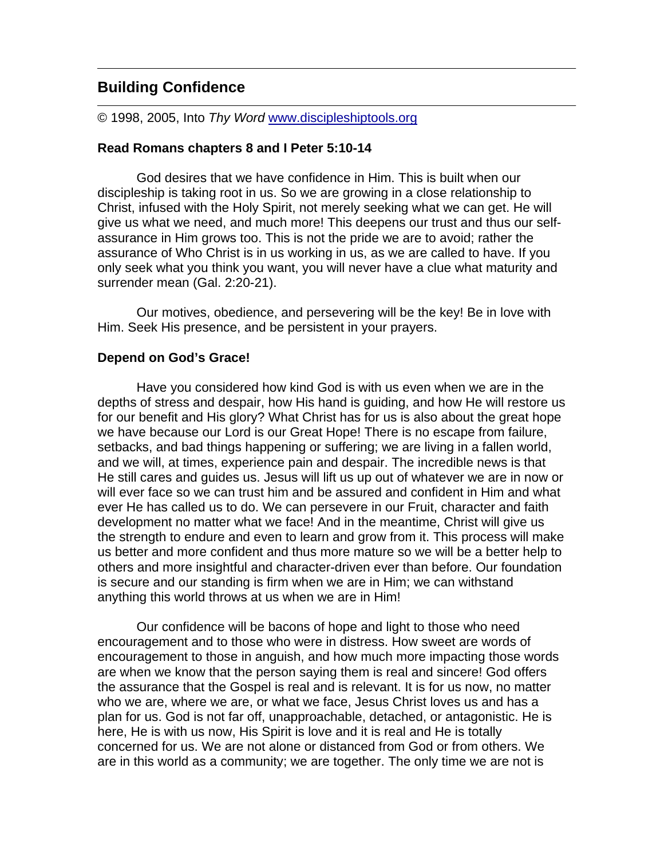# **Building Confidence**

© 1998, 2005, Into *Thy Word* www.discipleshiptools.org

#### **Read Romans chapters 8 and I Peter 5:10-14**

God desires that we have confidence in Him. This is built when our discipleship is taking root in us. So we are growing in a close relationship to Christ, infused with the Holy Spirit, not merely seeking what we can get. He will give us what we need, and much more! This deepens our trust and thus our selfassurance in Him grows too. This is not the pride we are to avoid; rather the assurance of Who Christ is in us working in us, as we are called to have. If you only seek what you think you want, you will never have a clue what maturity and surrender mean (Gal. 2:20-21).

Our motives, obedience, and persevering will be the key! Be in love with Him. Seek His presence, and be persistent in your prayers.

#### **Depend on God's Grace!**

Have you considered how kind God is with us even when we are in the depths of stress and despair, how His hand is guiding, and how He will restore us for our benefit and His glory? What Christ has for us is also about the great hope we have because our Lord is our Great Hope! There is no escape from failure, setbacks, and bad things happening or suffering; we are living in a fallen world, and we will, at times, experience pain and despair. The incredible news is that He still cares and guides us. Jesus will lift us up out of whatever we are in now or will ever face so we can trust him and be assured and confident in Him and what ever He has called us to do. We can persevere in our Fruit, character and faith development no matter what we face! And in the meantime, Christ will give us the strength to endure and even to learn and grow from it. This process will make us better and more confident and thus more mature so we will be a better help to others and more insightful and character-driven ever than before. Our foundation is secure and our standing is firm when we are in Him; we can withstand anything this world throws at us when we are in Him!

Our confidence will be bacons of hope and light to those who need encouragement and to those who were in distress. How sweet are words of encouragement to those in anguish, and how much more impacting those words are when we know that the person saying them is real and sincere! God offers the assurance that the Gospel is real and is relevant. It is for us now, no matter who we are, where we are, or what we face, Jesus Christ loves us and has a plan for us. God is not far off, unapproachable, detached, or antagonistic. He is here, He is with us now, His Spirit is love and it is real and He is totally concerned for us. We are not alone or distanced from God or from others. We are in this world as a community; we are together. The only time we are not is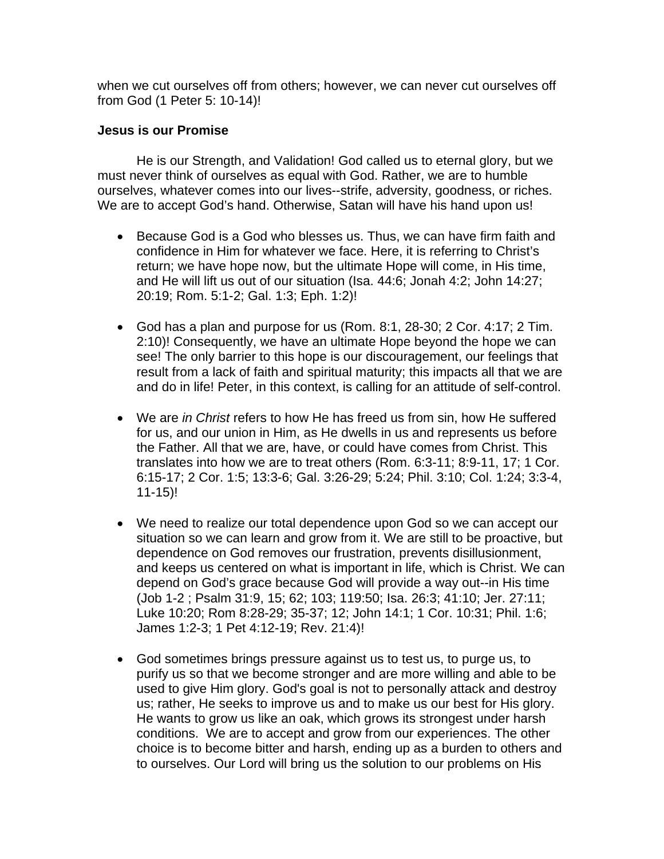when we cut ourselves off from others; however, we can never cut ourselves off from God (1 Peter 5: 10-14)!

## **Jesus is our Promise**

He is our Strength, and Validation! God called us to eternal glory, but we must never think of ourselves as equal with God. Rather, we are to humble ourselves, whatever comes into our lives--strife, adversity, goodness, or riches. We are to accept God's hand. Otherwise, Satan will have his hand upon us!

- Because God is a God who blesses us. Thus, we can have firm faith and confidence in Him for whatever we face. Here, it is referring to Christ's return; we have hope now, but the ultimate Hope will come, in His time, and He will lift us out of our situation (Isa. 44:6; Jonah 4:2; John 14:27; 20:19; Rom. 5:1-2; Gal. 1:3; Eph. 1:2)!
- God has a plan and purpose for us (Rom. 8:1, 28-30; 2 Cor. 4:17; 2 Tim. 2:10)! Consequently, we have an ultimate Hope beyond the hope we can see! The only barrier to this hope is our discouragement, our feelings that result from a lack of faith and spiritual maturity; this impacts all that we are and do in life! Peter, in this context, is calling for an attitude of self-control.
- We are *in Christ* refers to how He has freed us from sin, how He suffered for us, and our union in Him, as He dwells in us and represents us before the Father. All that we are, have, or could have comes from Christ. This translates into how we are to treat others (Rom. 6:3-11; 8:9-11, 17; 1 Cor. 6:15-17; 2 Cor. 1:5; 13:3-6; Gal. 3:26-29; 5:24; Phil. 3:10; Col. 1:24; 3:3-4, 11-15)!
- We need to realize our total dependence upon God so we can accept our situation so we can learn and grow from it. We are still to be proactive, but dependence on God removes our frustration, prevents disillusionment, and keeps us centered on what is important in life, which is Christ. We can depend on God's grace because God will provide a way out--in His time (Job 1-2 ; Psalm 31:9, 15; 62; 103; 119:50; Isa. 26:3; 41:10; Jer. 27:11; Luke 10:20; Rom 8:28-29; 35-37; 12; John 14:1; 1 Cor. 10:31; Phil. 1:6; James 1:2-3; 1 Pet 4:12-19; Rev. 21:4)!
- God sometimes brings pressure against us to test us, to purge us, to purify us so that we become stronger and are more willing and able to be used to give Him glory. God's goal is not to personally attack and destroy us; rather, He seeks to improve us and to make us our best for His glory. He wants to grow us like an oak, which grows its strongest under harsh conditions. We are to accept and grow from our experiences. The other choice is to become bitter and harsh, ending up as a burden to others and to ourselves. Our Lord will bring us the solution to our problems on His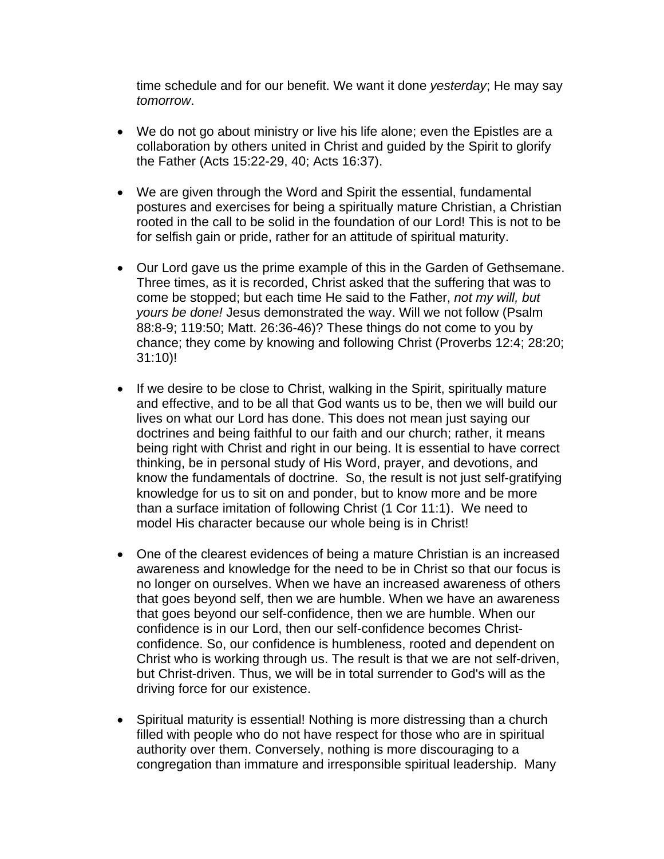time schedule and for our benefit. We want it done *yesterday*; He may say *tomorrow*.

- We do not go about ministry or live his life alone; even the Epistles are a collaboration by others united in Christ and guided by the Spirit to glorify the Father (Acts 15:22-29, 40; Acts 16:37).
- We are given through the Word and Spirit the essential, fundamental postures and exercises for being a spiritually mature Christian, a Christian rooted in the call to be solid in the foundation of our Lord! This is not to be for selfish gain or pride, rather for an attitude of spiritual maturity.
- Our Lord gave us the prime example of this in the Garden of Gethsemane. Three times, as it is recorded, Christ asked that the suffering that was to come be stopped; but each time He said to the Father, *not my will, but yours be done!* Jesus demonstrated the way. Will we not follow (Psalm 88:8-9; 119:50; Matt. 26:36-46)? These things do not come to you by chance; they come by knowing and following Christ (Proverbs 12:4; 28:20; 31:10)!
- If we desire to be close to Christ, walking in the Spirit, spiritually mature and effective, and to be all that God wants us to be, then we will build our lives on what our Lord has done. This does not mean just saying our doctrines and being faithful to our faith and our church; rather, it means being right with Christ and right in our being. It is essential to have correct thinking, be in personal study of His Word, prayer, and devotions, and know the fundamentals of doctrine. So, the result is not just self-gratifying knowledge for us to sit on and ponder, but to know more and be more than a surface imitation of following Christ (1 Cor 11:1). We need to model His character because our whole being is in Christ!
- One of the clearest evidences of being a mature Christian is an increased awareness and knowledge for the need to be in Christ so that our focus is no longer on ourselves. When we have an increased awareness of others that goes beyond self, then we are humble. When we have an awareness that goes beyond our self-confidence, then we are humble. When our confidence is in our Lord, then our self-confidence becomes Christconfidence. So, our confidence is humbleness, rooted and dependent on Christ who is working through us. The result is that we are not self-driven, but Christ-driven. Thus, we will be in total surrender to God's will as the driving force for our existence.
- Spiritual maturity is essential! Nothing is more distressing than a church filled with people who do not have respect for those who are in spiritual authority over them. Conversely, nothing is more discouraging to a congregation than immature and irresponsible spiritual leadership. Many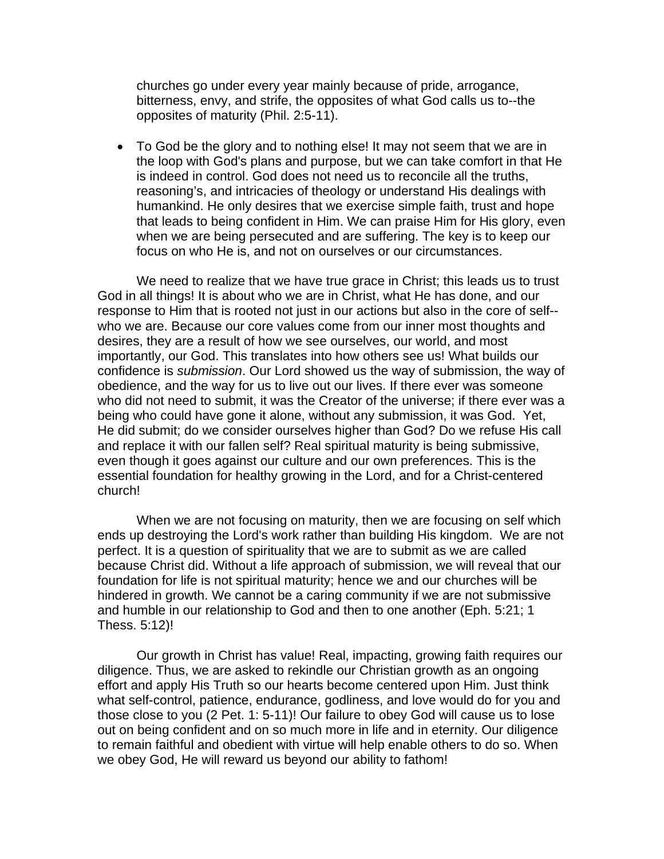churches go under every year mainly because of pride, arrogance, bitterness, envy, and strife, the opposites of what God calls us to--the opposites of maturity (Phil. 2:5-11).

• To God be the glory and to nothing else! It may not seem that we are in the loop with God's plans and purpose, but we can take comfort in that He is indeed in control. God does not need us to reconcile all the truths, reasoning's, and intricacies of theology or understand His dealings with humankind. He only desires that we exercise simple faith, trust and hope that leads to being confident in Him. We can praise Him for His glory, even when we are being persecuted and are suffering. The key is to keep our focus on who He is, and not on ourselves or our circumstances.

 We need to realize that we have true grace in Christ; this leads us to trust God in all things! It is about who we are in Christ, what He has done, and our response to Him that is rooted not just in our actions but also in the core of self- who we are. Because our core values come from our inner most thoughts and desires, they are a result of how we see ourselves, our world, and most importantly, our God. This translates into how others see us! What builds our confidence is *submission*. Our Lord showed us the way of submission, the way of obedience, and the way for us to live out our lives. If there ever was someone who did not need to submit, it was the Creator of the universe; if there ever was a being who could have gone it alone, without any submission, it was God. Yet, He did submit; do we consider ourselves higher than God? Do we refuse His call and replace it with our fallen self? Real spiritual maturity is being submissive, even though it goes against our culture and our own preferences. This is the essential foundation for healthy growing in the Lord, and for a Christ-centered church!

 When we are not focusing on maturity, then we are focusing on self which ends up destroying the Lord's work rather than building His kingdom. We are not perfect. It is a question of spirituality that we are to submit as we are called because Christ did. Without a life approach of submission, we will reveal that our foundation for life is not spiritual maturity; hence we and our churches will be hindered in growth. We cannot be a caring community if we are not submissive and humble in our relationship to God and then to one another (Eph. 5:21; 1 Thess. 5:12)!

Our growth in Christ has value! Real, impacting, growing faith requires our diligence. Thus, we are asked to rekindle our Christian growth as an ongoing effort and apply His Truth so our hearts become centered upon Him. Just think what self-control, patience, endurance, godliness, and love would do for you and those close to you (2 Pet. 1: 5-11)! Our failure to obey God will cause us to lose out on being confident and on so much more in life and in eternity. Our diligence to remain faithful and obedient with virtue will help enable others to do so. When we obey God, He will reward us beyond our ability to fathom!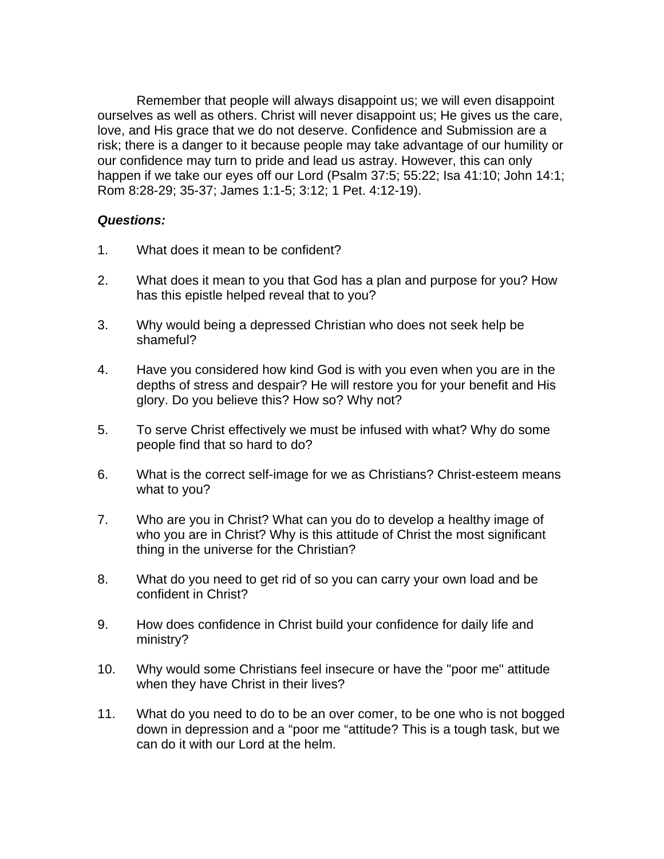Remember that people will always disappoint us; we will even disappoint ourselves as well as others. Christ will never disappoint us; He gives us the care, love, and His grace that we do not deserve. Confidence and Submission are a risk; there is a danger to it because people may take advantage of our humility or our confidence may turn to pride and lead us astray. However, this can only happen if we take our eyes off our Lord (Psalm 37:5; 55:22; Isa 41:10; John 14:1; Rom 8:28-29; 35-37; James 1:1-5; 3:12; 1 Pet. 4:12-19).

### *Questions:*

- 1. What does it mean to be confident?
- 2. What does it mean to you that God has a plan and purpose for you? How has this epistle helped reveal that to you?
- 3. Why would being a depressed Christian who does not seek help be shameful?
- 4. Have you considered how kind God is with you even when you are in the depths of stress and despair? He will restore you for your benefit and His glory. Do you believe this? How so? Why not?
- 5. To serve Christ effectively we must be infused with what? Why do some people find that so hard to do?
- 6. What is the correct self-image for we as Christians? Christ-esteem means what to you?
- 7. Who are you in Christ? What can you do to develop a healthy image of who you are in Christ? Why is this attitude of Christ the most significant thing in the universe for the Christian?
- 8. What do you need to get rid of so you can carry your own load and be confident in Christ?
- 9. How does confidence in Christ build your confidence for daily life and ministry?
- 10. Why would some Christians feel insecure or have the "poor me" attitude when they have Christ in their lives?
- 11. What do you need to do to be an over comer, to be one who is not bogged down in depression and a "poor me "attitude? This is a tough task, but we can do it with our Lord at the helm.